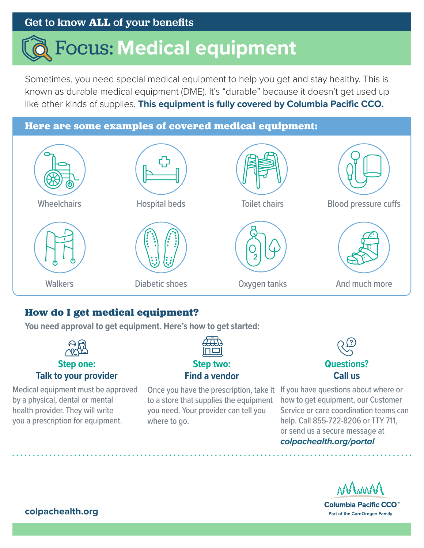### Get to know **ALL** of your benefits

# Focus: **Medical equipment**

Sometimes, you need special medical equipment to help you get and stay healthy. This is known as durable medical equipment (DME). It's "durable" because it doesn't get used up like other kinds of supplies. **This equipment is fully covered by Columbia Pacific CCO.**

## **Here are some examples of covered medical equipment: Wheelchairs Walkers** Hospital beds Diabetic shoes Toilet chairs Oxygen tanks Blood pressure cuffs And much more

#### **How do I get medical equipment?**

**You need approval to get equipment. Here's how to get started:** 



by a physical, dental or mental health provider. They will write you a prescription for equipment.

Once you have the prescription, take it If you have questions about where or to a store that supplies the equipment you need. Your provider can tell you where to go.



how to get equipment, our Customer Service or care coordination teams can help. Call 855-722-8206 or TTY 711, or send us a secure message at *[colpachealth.org/portal](http://colpachealth.org/portal)*

ARAMA

Columbia Pacific CCO<sup>™</sup> Part of the CareOregon Family

**[colpachealth.org](http://colpachealth.org)**